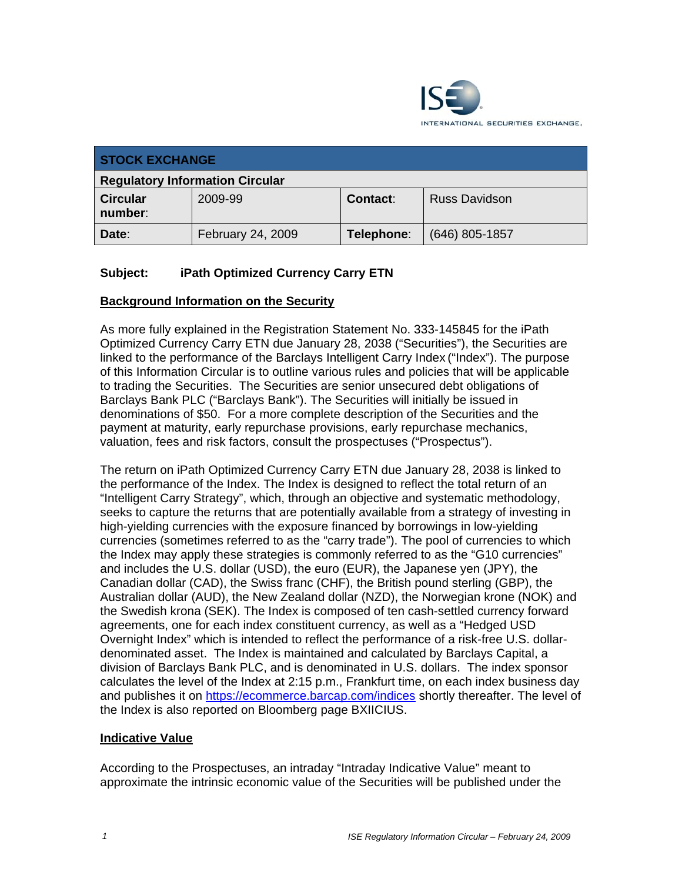

| <b>STOCK EXCHANGE</b>                  |                   |            |                      |
|----------------------------------------|-------------------|------------|----------------------|
| <b>Regulatory Information Circular</b> |                   |            |                      |
| <b>Circular</b><br>number:             | 2009-99           | Contact:   | <b>Russ Davidson</b> |
| Date:                                  | February 24, 2009 | Telephone: | $(646)$ 805-1857     |

## **Subject: iPath Optimized Currency Carry ETN**

## **Background Information on the Security**

As more fully explained in the Registration Statement No. 333-145845 for the iPath Optimized Currency Carry ETN due January 28, 2038 ("Securities"), the Securities are linked to the performance of the Barclays Intelligent Carry Index ("Index"). The purpose of this Information Circular is to outline various rules and policies that will be applicable to trading the Securities. The Securities are senior unsecured debt obligations of Barclays Bank PLC ("Barclays Bank"). The Securities will initially be issued in denominations of \$50. For a more complete description of the Securities and the payment at maturity, early repurchase provisions, early repurchase mechanics, valuation, fees and risk factors, consult the prospectuses ("Prospectus").

The return on iPath Optimized Currency Carry ETN due January 28, 2038 is linked to the performance of the Index. The Index is designed to reflect the total return of an "Intelligent Carry Strategy", which, through an objective and systematic methodology, seeks to capture the returns that are potentially available from a strategy of investing in high-yielding currencies with the exposure financed by borrowings in low-yielding currencies (sometimes referred to as the "carry trade"). The pool of currencies to which the Index may apply these strategies is commonly referred to as the "G10 currencies" and includes the U.S. dollar (USD), the euro (EUR), the Japanese yen (JPY), the Canadian dollar (CAD), the Swiss franc (CHF), the British pound sterling (GBP), the Australian dollar (AUD), the New Zealand dollar (NZD), the Norwegian krone (NOK) and the Swedish krona (SEK). The Index is composed of ten cash-settled currency forward agreements, one for each index constituent currency, as well as a "Hedged USD Overnight Index" which is intended to reflect the performance of a risk-free U.S. dollardenominated asset. The Index is maintained and calculated by Barclays Capital, a division of Barclays Bank PLC, and is denominated in U.S. dollars. The index sponsor calculates the level of the Index at 2:15 p.m., Frankfurt time, on each index business day and publishes it on https://ecommerce.barcap.com/indices shortly thereafter. The level of the Index is also reported on Bloomberg page BXIICIUS.

## **Indicative Value**

According to the Prospectuses, an intraday "Intraday Indicative Value" meant to approximate the intrinsic economic value of the Securities will be published under the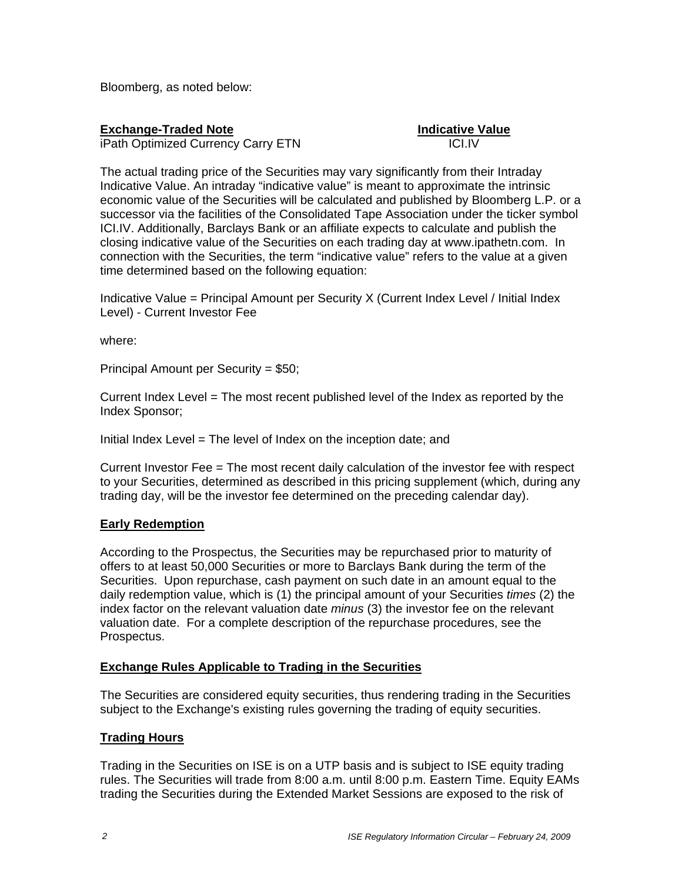Bloomberg, as noted below:

## **Exchange-Traded Note Indicative Value**

iPath Optimized Currency Carry ETN **ICI.IV** 

The actual trading price of the Securities may vary significantly from their Intraday Indicative Value. An intraday "indicative value" is meant to approximate the intrinsic economic value of the Securities will be calculated and published by Bloomberg L.P. or a successor via the facilities of the Consolidated Tape Association under the ticker symbol ICI.IV. Additionally, Barclays Bank or an affiliate expects to calculate and publish the closing indicative value of the Securities on each trading day at www.ipathetn.com. In connection with the Securities, the term "indicative value" refers to the value at a given time determined based on the following equation:

Indicative Value = Principal Amount per Security X (Current Index Level / Initial Index Level) - Current Investor Fee

where:

Principal Amount per Security = \$50;

Current Index Level = The most recent published level of the Index as reported by the Index Sponsor;

Initial Index Level = The level of Index on the inception date; and

Current Investor Fee = The most recent daily calculation of the investor fee with respect to your Securities, determined as described in this pricing supplement (which, during any trading day, will be the investor fee determined on the preceding calendar day).

## **Early Redemption**

According to the Prospectus, the Securities may be repurchased prior to maturity of offers to at least 50,000 Securities or more to Barclays Bank during the term of the Securities. Upon repurchase, cash payment on such date in an amount equal to the daily redemption value, which is (1) the principal amount of your Securities *times* (2) the index factor on the relevant valuation date *minus* (3) the investor fee on the relevant valuation date. For a complete description of the repurchase procedures, see the Prospectus.

## **Exchange Rules Applicable to Trading in the Securities**

The Securities are considered equity securities, thus rendering trading in the Securities subject to the Exchange's existing rules governing the trading of equity securities.

## **Trading Hours**

Trading in the Securities on ISE is on a UTP basis and is subject to ISE equity trading rules. The Securities will trade from 8:00 a.m. until 8:00 p.m. Eastern Time. Equity EAMs trading the Securities during the Extended Market Sessions are exposed to the risk of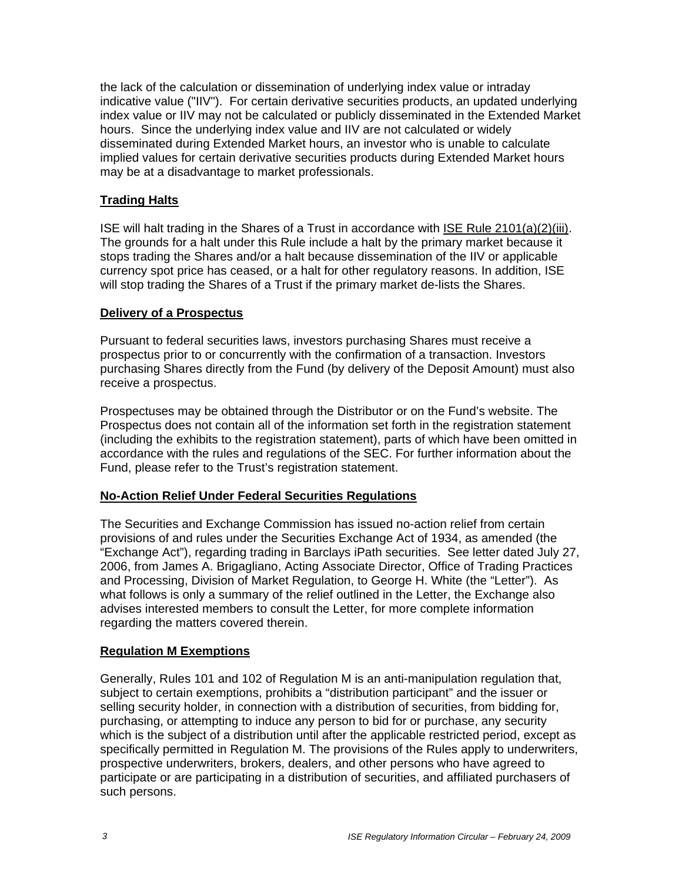the lack of the calculation or dissemination of underlying index value or intraday indicative value ("IIV"). For certain derivative securities products, an updated underlying index value or IIV may not be calculated or publicly disseminated in the Extended Market hours. Since the underlying index value and IIV are not calculated or widely disseminated during Extended Market hours, an investor who is unable to calculate implied values for certain derivative securities products during Extended Market hours may be at a disadvantage to market professionals.

## **Trading Halts**

ISE will halt trading in the Shares of a Trust in accordance with ISE Rule 2101(a)(2)(iii). The grounds for a halt under this Rule include a halt by the primary market because it stops trading the Shares and/or a halt because dissemination of the IIV or applicable currency spot price has ceased, or a halt for other regulatory reasons. In addition, ISE will stop trading the Shares of a Trust if the primary market de-lists the Shares.

#### **Delivery of a Prospectus**

Pursuant to federal securities laws, investors purchasing Shares must receive a prospectus prior to or concurrently with the confirmation of a transaction. Investors purchasing Shares directly from the Fund (by delivery of the Deposit Amount) must also receive a prospectus.

Prospectuses may be obtained through the Distributor or on the Fund's website. The Prospectus does not contain all of the information set forth in the registration statement (including the exhibits to the registration statement), parts of which have been omitted in accordance with the rules and regulations of the SEC. For further information about the Fund, please refer to the Trust's registration statement.

## **No-Action Relief Under Federal Securities Regulations**

The Securities and Exchange Commission has issued no-action relief from certain provisions of and rules under the Securities Exchange Act of 1934, as amended (the "Exchange Act"), regarding trading in Barclays iPath securities. See letter dated July 27, 2006, from James A. Brigagliano, Acting Associate Director, Office of Trading Practices and Processing, Division of Market Regulation, to George H. White (the "Letter"). As what follows is only a summary of the relief outlined in the Letter, the Exchange also advises interested members to consult the Letter, for more complete information regarding the matters covered therein.

## **Regulation M Exemptions**

Generally, Rules 101 and 102 of Regulation M is an anti-manipulation regulation that, subject to certain exemptions, prohibits a "distribution participant" and the issuer or selling security holder, in connection with a distribution of securities, from bidding for, purchasing, or attempting to induce any person to bid for or purchase, any security which is the subject of a distribution until after the applicable restricted period, except as specifically permitted in Regulation M. The provisions of the Rules apply to underwriters, prospective underwriters, brokers, dealers, and other persons who have agreed to participate or are participating in a distribution of securities, and affiliated purchasers of such persons.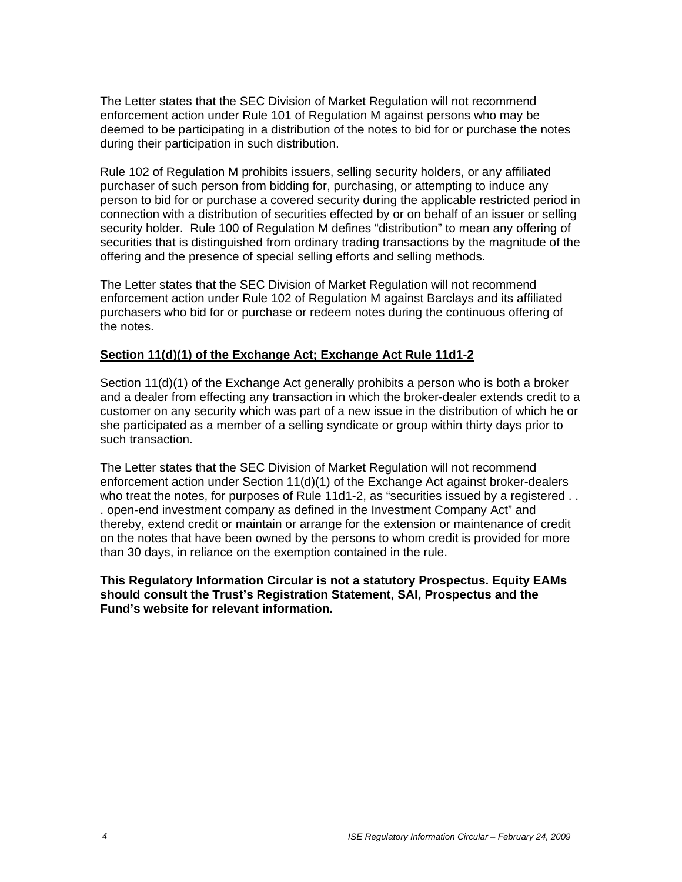The Letter states that the SEC Division of Market Regulation will not recommend enforcement action under Rule 101 of Regulation M against persons who may be deemed to be participating in a distribution of the notes to bid for or purchase the notes during their participation in such distribution.

Rule 102 of Regulation M prohibits issuers, selling security holders, or any affiliated purchaser of such person from bidding for, purchasing, or attempting to induce any person to bid for or purchase a covered security during the applicable restricted period in connection with a distribution of securities effected by or on behalf of an issuer or selling security holder. Rule 100 of Regulation M defines "distribution" to mean any offering of securities that is distinguished from ordinary trading transactions by the magnitude of the offering and the presence of special selling efforts and selling methods.

The Letter states that the SEC Division of Market Regulation will not recommend enforcement action under Rule 102 of Regulation M against Barclays and its affiliated purchasers who bid for or purchase or redeem notes during the continuous offering of the notes.

## **Section 11(d)(1) of the Exchange Act; Exchange Act Rule 11d1-2**

Section 11(d)(1) of the Exchange Act generally prohibits a person who is both a broker and a dealer from effecting any transaction in which the broker-dealer extends credit to a customer on any security which was part of a new issue in the distribution of which he or she participated as a member of a selling syndicate or group within thirty days prior to such transaction.

The Letter states that the SEC Division of Market Regulation will not recommend enforcement action under Section 11(d)(1) of the Exchange Act against broker-dealers who treat the notes, for purposes of Rule 11d1-2, as "securities issued by a registered . . . open-end investment company as defined in the Investment Company Act" and thereby, extend credit or maintain or arrange for the extension or maintenance of credit on the notes that have been owned by the persons to whom credit is provided for more than 30 days, in reliance on the exemption contained in the rule.

**This Regulatory Information Circular is not a statutory Prospectus. Equity EAMs should consult the Trust's Registration Statement, SAI, Prospectus and the Fund's website for relevant information.**